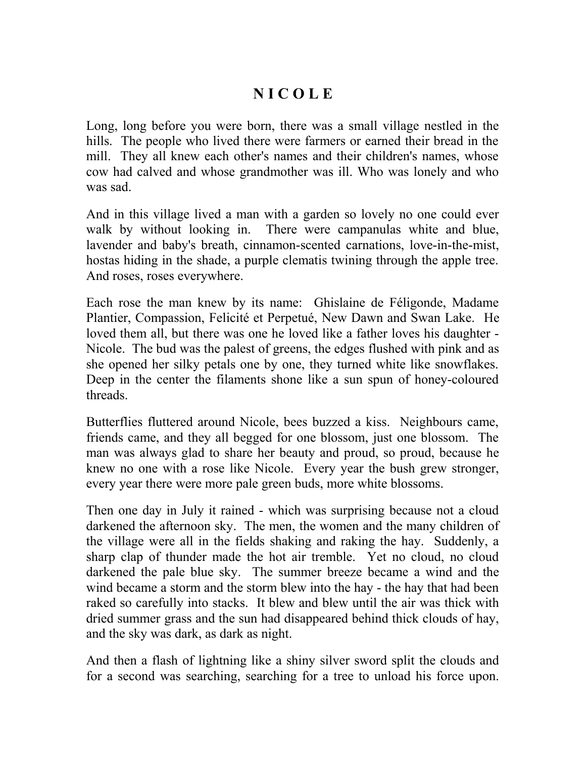## **N I C O L E**

Long, long before you were born, there was a small village nestled in the hills. The people who lived there were farmers or earned their bread in the mill. They all knew each other's names and their children's names, whose cow had calved and whose grandmother was ill. Who was lonely and who was sad.

And in this village lived a man with a garden so lovely no one could ever walk by without looking in. There were campanulas white and blue, lavender and baby's breath, cinnamon-scented carnations, love-in-the-mist, hostas hiding in the shade, a purple clematis twining through the apple tree. And roses, roses everywhere.

Each rose the man knew by its name: Ghislaine de Féligonde, Madame Plantier, Compassion, Felicité et Perpetué, New Dawn and Swan Lake. He loved them all, but there was one he loved like a father loves his daughter - Nicole. The bud was the palest of greens, the edges flushed with pink and as she opened her silky petals one by one, they turned white like snowflakes. Deep in the center the filaments shone like a sun spun of honey-coloured threads.

Butterflies fluttered around Nicole, bees buzzed a kiss. Neighbours came, friends came, and they all begged for one blossom, just one blossom. The man was always glad to share her beauty and proud, so proud, because he knew no one with a rose like Nicole. Every year the bush grew stronger, every year there were more pale green buds, more white blossoms.

Then one day in July it rained - which was surprising because not a cloud darkened the afternoon sky. The men, the women and the many children of the village were all in the fields shaking and raking the hay. Suddenly, a sharp clap of thunder made the hot air tremble. Yet no cloud, no cloud darkened the pale blue sky. The summer breeze became a wind and the wind became a storm and the storm blew into the hay - the hay that had been raked so carefully into stacks. It blew and blew until the air was thick with dried summer grass and the sun had disappeared behind thick clouds of hay, and the sky was dark, as dark as night.

And then a flash of lightning like a shiny silver sword split the clouds and for a second was searching, searching for a tree to unload his force upon.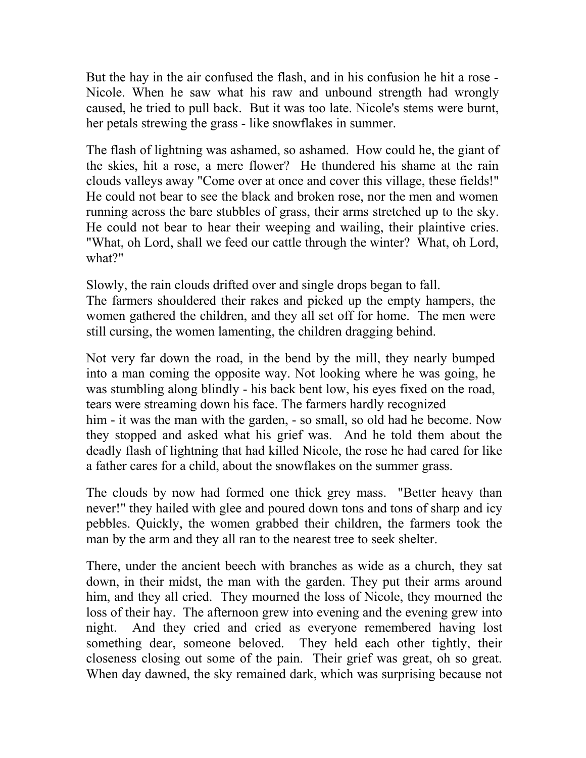But the hay in the air confused the flash, and in his confusion he hit a rose - Nicole. When he saw what his raw and unbound strength had wrongly caused, he tried to pull back. But it was too late. Nicole's stems were burnt, her petals strewing the grass - like snowflakes in summer.

The flash of lightning was ashamed, so ashamed. How could he, the giant of the skies, hit a rose, a mere flower? He thundered his shame at the rain clouds valleys away "Come over at once and cover this village, these fields!" He could not bear to see the black and broken rose, nor the men and women running across the bare stubbles of grass, their arms stretched up to the sky. He could not bear to hear their weeping and wailing, their plaintive cries. "What, oh Lord, shall we feed our cattle through the winter? What, oh Lord, what?"

Slowly, the rain clouds drifted over and single drops began to fall.

The farmers shouldered their rakes and picked up the empty hampers, the women gathered the children, and they all set off for home. The men were still cursing, the women lamenting, the children dragging behind.

Not very far down the road, in the bend by the mill, they nearly bumped into a man coming the opposite way. Not looking where he was going, he was stumbling along blindly - his back bent low, his eyes fixed on the road, tears were streaming down his face. The farmers hardly recognized him - it was the man with the garden, - so small, so old had he become. Now they stopped and asked what his grief was. And he told them about the deadly flash of lightning that had killed Nicole, the rose he had cared for like a father cares for a child, about the snowflakes on the summer grass.

The clouds by now had formed one thick grey mass. "Better heavy than never!" they hailed with glee and poured down tons and tons of sharp and icy pebbles. Quickly, the women grabbed their children, the farmers took the man by the arm and they all ran to the nearest tree to seek shelter.

There, under the ancient beech with branches as wide as a church, they sat down, in their midst, the man with the garden. They put their arms around him, and they all cried. They mourned the loss of Nicole, they mourned the loss of their hay. The afternoon grew into evening and the evening grew into night. And they cried and cried as everyone remembered having lost something dear, someone beloved. They held each other tightly, their closeness closing out some of the pain. Their grief was great, oh so great. When day dawned, the sky remained dark, which was surprising because not